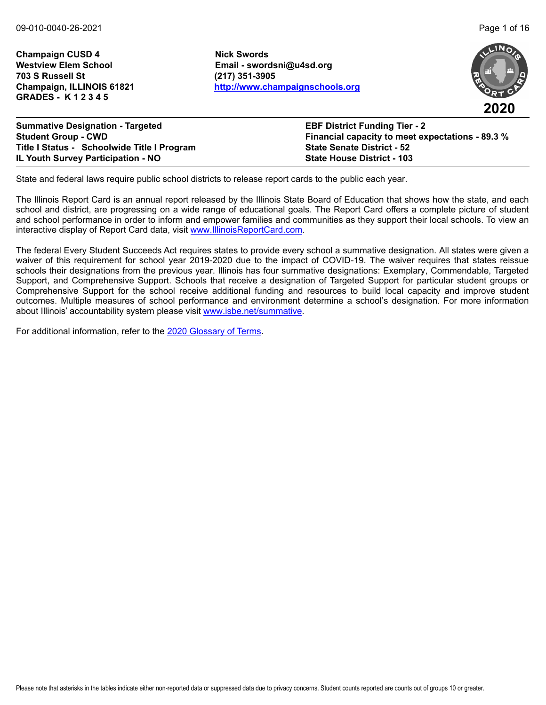**Champaign CUSD 4 Nick Swords Westview Elem School Email - swordsni@u4sd.org 703 S Russell St (217) 351-3905 GRADES - K 1 2 3 4 5**

**Champaign, ILLINOIS 61821 <http://www.champaignschools.org>**



| <b>Summative Designation - Targeted</b>     | <b>EBF District Funding Tier - 2</b>                    |
|---------------------------------------------|---------------------------------------------------------|
| <b>Student Group - CWD</b>                  | <b>Financial capacity to meet expectations - 89.3 %</b> |
| Title I Status - Schoolwide Title I Program | <b>State Senate District - 52</b>                       |
| <b>IL Youth Survey Participation - NO</b>   | <b>State House District - 103</b>                       |

State and federal laws require public school districts to release report cards to the public each year.

The Illinois Report Card is an annual report released by the Illinois State Board of Education that shows how the state, and each school and district, are progressing on a wide range of educational goals. The Report Card offers a complete picture of student and school performance in order to inform and empower families and communities as they support their local schools. To view an interactive display of Report Card data, visit [www.IllinoisReportCard.com](https://www.illinoisreportcard.com/).

The federal Every Student Succeeds Act requires states to provide every school a summative designation. All states were given a waiver of this requirement for school year 2019-2020 due to the impact of COVID-19. The waiver requires that states reissue schools their designations from the previous year. Illinois has four summative designations: Exemplary, Commendable, Targeted Support, and Comprehensive Support. Schools that receive a designation of Targeted Support for particular student groups or Comprehensive Support for the school receive additional funding and resources to build local capacity and improve student outcomes. Multiple measures of school performance and environment determine a school's designation. For more information [about Illinois' accountabil](https://www.isbe.net/summative)ity system please visit [www.isbe.net/summative.](http://www.isbe.net/summative)

For additional information, refer to th[e 2020 Glossary of Terms.](https://www.isbe.net/Documents/2020-Glossary-of-Terms.pdf)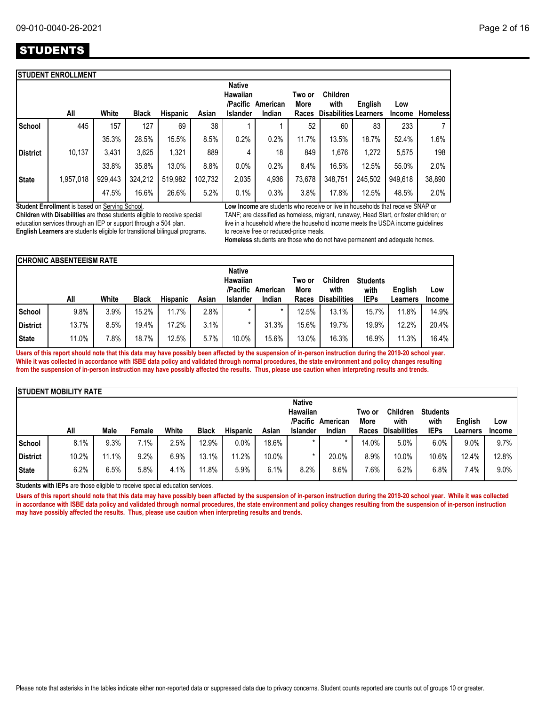# **STUDENTS**

|                 | <b>STUDENT ENROLLMENT</b> |         |              |                 |         |                                       |          |                |                              |         |               |                 |
|-----------------|---------------------------|---------|--------------|-----------------|---------|---------------------------------------|----------|----------------|------------------------------|---------|---------------|-----------------|
|                 |                           |         |              |                 |         | <b>Native</b><br>Hawaiian<br>/Pacific | American | Two or<br>More | <b>Children</b><br>with      | English | Low           |                 |
|                 | All                       | White   | <b>Black</b> | <b>Hispanic</b> | Asian   | <b>Islander</b>                       | Indian   | <b>Races</b>   | <b>Disabilities Learners</b> |         | <b>Income</b> | <b>Homeless</b> |
| <b>School</b>   | 445                       | 157     | 127          | 69              | 38      |                                       |          | 52             | 60                           | 83      | 233           | 7               |
|                 |                           | 35.3%   | 28.5%        | 15.5%           | 8.5%    | 0.2%                                  | 0.2%     | 11.7%          | 13.5%                        | 18.7%   | 52.4%         | 1.6%            |
| <b>District</b> | 10,137                    | 3,431   | 3,625        | 1,321           | 889     | 4                                     | 18       | 849            | 1.676                        | 1,272   | 5,575         | 198             |
|                 |                           | 33.8%   | 35.8%        | 13.0%           | 8.8%    | 0.0%                                  | 0.2%     | 8.4%           | 16.5%                        | 12.5%   | 55.0%         | 2.0%            |
| <b>State</b>    | 1,957,018                 | 929,443 | 324,212      | 519,982         | 102,732 | 2,035                                 | 4,936    | 73,678         | 348,751                      | 245,502 | 949,618       | 38,890          |
|                 |                           | 47.5%   | 16.6%        | 26.6%           | 5.2%    | 0.1%                                  | 0.3%     | 3.8%           | 17.8%                        | 12.5%   | 48.5%         | 2.0%            |

**Student Enrollment** is based on Serving School.

**Children with Disabilities** are those students eligible to receive special education services through an IEP or support through a 504 plan. **English Learners** are students eligible for transitional bilingual programs. **Low Income** are students who receive or live in households that receive SNAP or TANF; are classified as homeless, migrant, runaway, Head Start, or foster children; or live in a household where the household income meets the USDA income guidelines to receive free or reduced-price meals.

**Homeless** students are those who do not have permanent and adequate homes.

|                 | <b>CHRONIC ABSENTEEISM RATE</b> |       |              |                 |       |                                       |          |                |                         |                         |          |               |
|-----------------|---------------------------------|-------|--------------|-----------------|-------|---------------------------------------|----------|----------------|-------------------------|-------------------------|----------|---------------|
|                 |                                 |       |              |                 |       | <b>Native</b><br>Hawaiian<br>/Pacific | American | Two or<br>More | <b>Children</b><br>with | <b>Students</b><br>with | English  | Low           |
|                 | All                             | White | <b>Black</b> | <b>Hispanic</b> | Asian | <b>Islander</b>                       | Indian   | <b>Races</b>   | <b>Disabilities</b>     | <b>IEPs</b>             | ∟earners | <b>Income</b> |
| <b>School</b>   | 9.8%                            | 3.9%  | 15.2%        | 11.7%           | 2.8%  |                                       | $\star$  | 12.5%          | 13.1%                   | 15.7%                   | 11.8%    | 14.9%         |
| <b>District</b> | 13.7%                           | 8.5%  | 19.4%        | 17.2%           | 3.1%  |                                       | 31.3%    | 15.6%          | 19.7%                   | 19.9%                   | 12.2%    | 20.4%         |
| <b>State</b>    | 11.0%                           | 7.8%  | 18.7%        | 12.5%           | 5.7%  | 10.0%                                 | 15.6%    | 13.0%          | 16.3%                   | 16.9%                   | 11.3%    | 16.4%         |

**Users of this report should note that this data may have possibly been affected by the suspension of in-person instruction during the 2019-20 school year. While it was collected in accordance with ISBE data policy and validated through normal procedures, the state environment and policy changes resulting from the suspension of in-person instruction may have possibly affected the results. Thus, please use caution when interpreting results and trends.**

|                 | <b>ISTUDENT MOBILITY RATE</b> |       |        |       |              |                 |       |                 |          |        |                     |                 |          |         |
|-----------------|-------------------------------|-------|--------|-------|--------------|-----------------|-------|-----------------|----------|--------|---------------------|-----------------|----------|---------|
|                 |                               |       |        |       |              |                 |       | <b>Native</b>   |          |        |                     |                 |          |         |
|                 |                               |       |        |       |              |                 |       | Hawaiian        |          | Two or | <b>Children</b>     | <b>Students</b> |          |         |
|                 |                               |       |        |       |              |                 |       | /Pacific        | American | More   | with                | with            | English  | Low     |
|                 | All                           | Male  | Female | White | <b>Black</b> | <b>Hispanic</b> | Asian | <b>Islander</b> | Indian   | Races  | <b>Disabilities</b> | <b>IEPs</b>     | Learners | Income  |
| <b>School</b>   | 8.1%                          | 9.3%  | 7.1%   | 2.5%  | 12.9%        | 0.0%            | 18.6% | $\star$         | $\star$  | 14.0%  | 5.0%                | 6.0%            | 9.0%     | 9.7%    |
| <b>District</b> | 10.2%                         | 11.1% | 9.2%   | 6.9%  | 13.1%        | 11.2%           | 10.0% | *               | 20.0%    | 8.9%   | 10.0%               | 10.6%           | 12.4%    | 12.8%   |
| <b>State</b>    | 6.2%                          | 6.5%  | 5.8%   | 4.1%  | 11.8%        | 5.9%            | 6.1%  | 8.2%            | 8.6%     | 7.6%   | 6.2%                | 6.8%            | 7.4%     | $9.0\%$ |

**Students with IEPs** are those eligible to receive special education services.

Users of this report should note that this data may have possibly been affected by the suspension of in-person instruction during the 2019-20 school year. While it was collected **in accordance with ISBE data policy and validated through normal procedures, the state environment and policy changes resulting from the suspension of in-person instruction may have possibly affected the results. Thus, please use caution when interpreting results and trends.**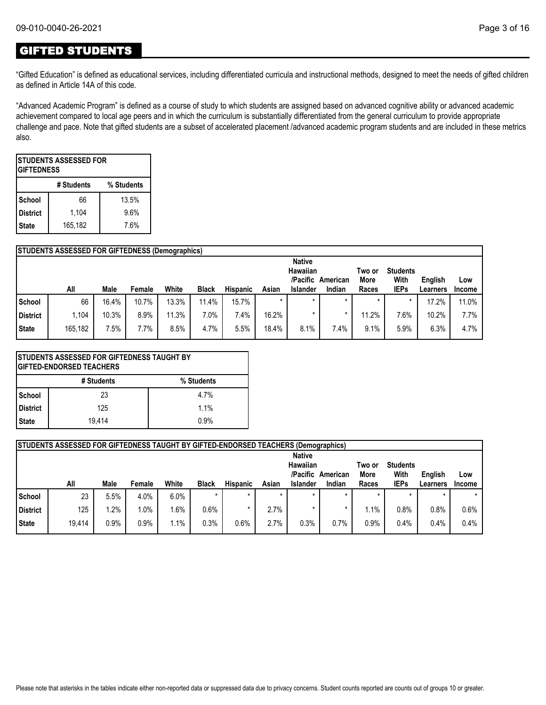## GIFTED STUDENTS

"Gifted Education" is defined as educational services, including differentiated curricula and instructional methods, designed to meet the needs of gifted children as defined in Article 14A of this code.

"Advanced Academic Program" is defined as a course of study to which students are assigned based on advanced cognitive ability or advanced academic achievement compared to local age peers and in which the curriculum is substantially differentiated from the general curriculum to provide appropriate challenge and pace. Note that gifted students are a subset of accelerated placement /advanced academic program students and are included in these metrics also.

| <b>ISTUDENTS ASSESSED FOR</b><br><b>GIFTEDNESS</b> |             |      |  |  |  |  |  |  |  |  |  |  |
|----------------------------------------------------|-------------|------|--|--|--|--|--|--|--|--|--|--|
| % Students<br># Students                           |             |      |  |  |  |  |  |  |  |  |  |  |
| School                                             | 13.5%<br>66 |      |  |  |  |  |  |  |  |  |  |  |
| <b>District</b>                                    | 1,104       | 9.6% |  |  |  |  |  |  |  |  |  |  |
| 165,182<br>7.6%<br><b>State</b>                    |             |      |  |  |  |  |  |  |  |  |  |  |

|                                                             | <b>STUDENTS ASSESSED FOR GIFTEDNESS (Demographics)</b> |                      |         |                 |              |       |        |       |         |               |  |  |  |
|-------------------------------------------------------------|--------------------------------------------------------|----------------------|---------|-----------------|--------------|-------|--------|-------|---------|---------------|--|--|--|
|                                                             |                                                        | <b>Native</b>        |         |                 |              |       |        |       |         |               |  |  |  |
|                                                             |                                                        |                      |         |                 |              |       |        |       |         |               |  |  |  |
| Low<br><b>IEPs</b><br>Races<br><b>Income</b><br>Learners    | Indian                                                 | <b>Islander</b>      | Asian   | <b>Hispanic</b> | <b>Black</b> | White | Female | Male  | All     |               |  |  |  |
| $\star$<br>17.2%<br>11.0%                                   |                                                        |                      | $\star$ | 15.7%           | 11.4%        | 13.3% | 10.7%  | 16.4% | 66      | <b>School</b> |  |  |  |
| 11.2%<br>7.6%<br>10.2%<br>7.7%                              |                                                        |                      | 16.2%   | 7.4%            | 7.0%         | 11.3% | 8.9%   | 10.3% | 1.104   | District      |  |  |  |
| 6.3%<br>4.7%<br>9.1%<br>5.9%<br>7.4%                        |                                                        | 8.1%                 | 18.4%   | 5.5%            | 4.7%         | 8.5%  | 7.7%   | 7.5%  | 165,182 | State         |  |  |  |
| <b>Students</b><br>Two or<br>With<br><b>More</b><br>English | American                                               | Hawaiian<br>/Pacific |         |                 |              |       |        |       |         |               |  |  |  |

| <b>STUDENTS ASSESSED FOR GIFTEDNESS TAUGHT BY</b><br><b>GIFTED-ENDORSED TEACHERS</b> |        |      |  |  |  |  |  |  |  |  |  |  |
|--------------------------------------------------------------------------------------|--------|------|--|--|--|--|--|--|--|--|--|--|
| # Students<br>% Students                                                             |        |      |  |  |  |  |  |  |  |  |  |  |
| School                                                                               | 23     | 4.7% |  |  |  |  |  |  |  |  |  |  |
| <b>District</b>                                                                      | 125    | 1.1% |  |  |  |  |  |  |  |  |  |  |
| <b>State</b>                                                                         | 19.414 | 0.9% |  |  |  |  |  |  |  |  |  |  |

|          | <b>STUDENTS ASSESSED FOR GIFTEDNESS TAUGHT BY GIFTED-ENDORSED TEACHERS (Demographics)</b> |      |        |         |              |                 |         |                                                          |                    |                         |                                        |                     |                      |
|----------|-------------------------------------------------------------------------------------------|------|--------|---------|--------------|-----------------|---------|----------------------------------------------------------|--------------------|-------------------------|----------------------------------------|---------------------|----------------------|
|          | All                                                                                       | Male | Female | White   | <b>Black</b> | <b>Hispanic</b> | Asian   | <b>Native</b><br>Hawaiian<br>/Pacific<br><b>Islander</b> | American<br>Indian | Two or<br>More<br>Races | <b>Students</b><br>With<br><b>IEPs</b> | English<br>Learners | Low<br><b>Income</b> |
| School   | 23                                                                                        | 5.5% | 4.0%   | 6.0%    | $\star$      | $\star$         | $\star$ | $\star$                                                  |                    | $\star$                 | $\star$                                | $\star$             |                      |
| District | 125                                                                                       | .2%  | 1.0%   | .6%     | 0.6%         |                 | 2.7%    |                                                          |                    | .1%،                    | 0.8%                                   | $0.8\%$             | 0.6%                 |
|          |                                                                                           |      |        |         |              |                 |         |                                                          |                    |                         |                                        |                     |                      |
| State    | 19,414                                                                                    | 0.9% | 0.9%   | $1.1\%$ | 0.3%         | 0.6%            | 2.7%    | 0.3%                                                     | 0.7%               | 0.9%                    | 0.4%                                   | 0.4%                | 0.4%                 |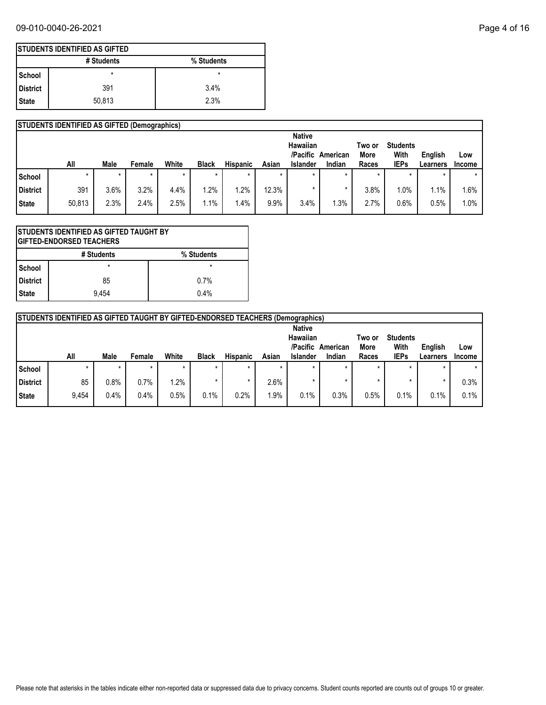## 09-010-0040-26-2021 Page 4 of 16

|            | <b>ISTUDENTS IDENTIFIED AS GIFTED</b> |            |  |  |  |  |  |  |  |  |  |  |
|------------|---------------------------------------|------------|--|--|--|--|--|--|--|--|--|--|
|            | # Students                            | % Students |  |  |  |  |  |  |  |  |  |  |
| l School   | *                                     | *          |  |  |  |  |  |  |  |  |  |  |
| l District | 391                                   | 3.4%       |  |  |  |  |  |  |  |  |  |  |
| State      | 50,813                                | 2.3%       |  |  |  |  |  |  |  |  |  |  |

|               | <b>STUDENTS IDENTIFIED AS GIFTED (Demographics)</b> |             |         |         |              |          |       |                                       |          |                |                         |          |        |
|---------------|-----------------------------------------------------|-------------|---------|---------|--------------|----------|-------|---------------------------------------|----------|----------------|-------------------------|----------|--------|
|               |                                                     |             |         |         |              |          |       | <b>Native</b><br>Hawaiian<br>/Pacific | American | Two or<br>More | <b>Students</b><br>With | English  | Low    |
|               | All                                                 | <b>Male</b> | Female  | White   | <b>Black</b> | Hispanic | Asian | <b>Islander</b>                       | Indian   | Races          | <b>IEPs</b>             | Learners | Income |
| <b>School</b> |                                                     | $\star$     | $\star$ | $\star$ | $\star$      | $\ast$   |       | $\star$                               |          | $\star$        |                         | $\star$  | *      |
| District      | 391                                                 | 3.6%        | 3.2%    | 4.4%    | .2%          | .2%      | 12.3% | ×                                     |          | 3.8%           | $1.0\%$                 | 1.1%     | 1.6%   |
| State         | 50,813                                              | 2.3%        | 2.4%    | 2.5%    | $.1\%$       | .4%      | 9.9%  | 3.4%                                  | .3%      | 2.7%           | 0.6%                    | 0.5%     | 1.0%   |

| STUDENTS IDENTIFIED AS GIFTED TAUGHT BY<br><b>GIFTED-ENDORSED TEACHERS</b> |         |      |  |  |  |  |  |  |  |  |  |
|----------------------------------------------------------------------------|---------|------|--|--|--|--|--|--|--|--|--|
| # Students<br>% Students                                                   |         |      |  |  |  |  |  |  |  |  |  |
| <b>School</b>                                                              | $\star$ |      |  |  |  |  |  |  |  |  |  |
| District                                                                   | 85      | 0.7% |  |  |  |  |  |  |  |  |  |
| <b>State</b>                                                               | 9.454   | 0.4% |  |  |  |  |  |  |  |  |  |

|          | <b>STUDENTS IDENTIFIED AS GIFTED TAUGHT BY GIFTED-ENDORSED TEACHERS (Demographics)</b>         |         |         |         |              |                 |         |                 |        |       |             |          |               |
|----------|------------------------------------------------------------------------------------------------|---------|---------|---------|--------------|-----------------|---------|-----------------|--------|-------|-------------|----------|---------------|
|          | <b>Native</b><br>Hawaiian<br><b>Students</b><br>Two or<br>/Pacific<br>With<br>More<br>American |         |         |         |              |                 |         |                 |        |       |             | English  | Low           |
|          | All                                                                                            | Male    | Female  | White   | <b>Black</b> | <b>Hispanic</b> | Asian   | <b>Islander</b> | Indian | Races | <b>IEPs</b> | Learners | <b>Income</b> |
| l School |                                                                                                | $\star$ | $\star$ |         | $\star$      |                 | $\star$ | $\star$         |        |       |             |          |               |
| District | 85                                                                                             | $0.8\%$ | 0.7%    | $1.2\%$ |              |                 | 2.6%    | -1              |        |       | ÷           | $\star$  | 0.3%          |
| State    | 9,454                                                                                          | 0.4%    | 0.4%    | 0.5%    | 0.1%         | 0.2%            | 1.9%    | 0.1%            | 0.3%   | 0.5%  | 0.1%        | 0.1%     | 0.1%          |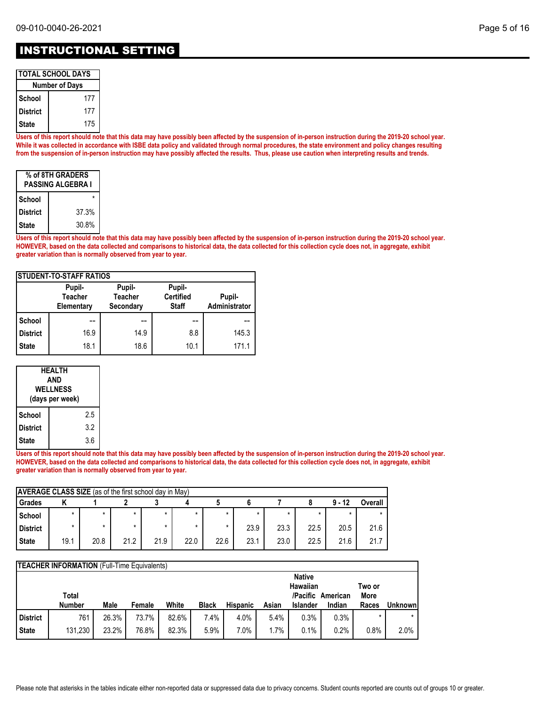| I TOTAL SCHOOL DAYS   |
|-----------------------|
| <b>Number of Days</b> |
|                       |

|            | INGHINGI VI DUVJ |
|------------|------------------|
| l School   | 177              |
| l District | 177              |
| l State    | 175              |

**Users of this report should note that this data may have possibly been affected by the suspension of in-person instruction during the 2019-20 school year. While it was collected in accordance with ISBE data policy and validated through normal procedures, the state environment and policy changes resulting from the suspension of in-person instruction may have possibly affected the results. Thus, please use caution when interpreting results and trends.**

| % of 8TH GRADERS<br>PASSING ALGEBRA I |       |  |  |  |
|---------------------------------------|-------|--|--|--|
| School                                |       |  |  |  |
| <b>District</b>                       | 37.3% |  |  |  |
| <b>State</b>                          | 30.8% |  |  |  |

**Users of this report should note that this data may have possibly been affected by the suspension of in-person instruction during the 2019-20 school year. HOWEVER, based on the data collected and comparisons to historical data, the data collected for this collection cycle does not, in aggregate, exhibit greater variation than is normally observed from year to year.**

| <b>ISTUDENT-TO-STAFF RATIOS</b> |                                        |                                       |                                            |                         |  |  |  |  |
|---------------------------------|----------------------------------------|---------------------------------------|--------------------------------------------|-------------------------|--|--|--|--|
|                                 | Pupil-<br><b>Teacher</b><br>Elementary | Pupil-<br><b>Teacher</b><br>Secondary | Pupil-<br><b>Certified</b><br><b>Staff</b> | Pupil-<br>Administrator |  |  |  |  |
| School                          |                                        |                                       |                                            |                         |  |  |  |  |
| <b>District</b>                 | 16.9                                   | 14.9                                  | 8.8                                        | 145.3                   |  |  |  |  |
| <b>State</b>                    | 18.1                                   | 18.6                                  | 10.1                                       | 171.1                   |  |  |  |  |

| HEALTH<br>AND<br><b>WELLNESS</b><br>(days per week) |     |  |  |  |
|-----------------------------------------------------|-----|--|--|--|
| School                                              | 2.5 |  |  |  |
| <b>District</b>                                     | 3.2 |  |  |  |
| State                                               | 3.6 |  |  |  |

**Users of this report should note that this data may have possibly been affected by the suspension of in-person instruction during the 2019-20 school year. HOWEVER, based on the data collected and comparisons to historical data, the data collected for this collection cycle does not, in aggregate, exhibit greater variation than is normally observed from year to year.**

| <b>AVERAGE CLASS SIZE</b> (as of the first school day in May) |         |      |         |      |      |      |      |      |      |          |         |
|---------------------------------------------------------------|---------|------|---------|------|------|------|------|------|------|----------|---------|
| Grades                                                        |         |      |         |      |      |      |      |      |      | $9 - 12$ | Overall |
| School                                                        | $\star$ |      | $\star$ |      |      | *    |      |      |      |          |         |
| <b>District</b>                                               |         |      | $\star$ |      |      | *    | 23.9 | 23.3 | 22.5 | 20.5     | 21.6    |
| <b>State</b>                                                  | 19.1    | 20.8 | 21.2    | 21.9 | 22.0 | 22.6 | 23.1 | 23.0 | 22.5 | 21.6     | 21.7    |

|                 | <b>TEACHER INFORMATION</b> (Full-Time Equivalents) |       |        |       |              |                 |       |                 |                   |        |         |
|-----------------|----------------------------------------------------|-------|--------|-------|--------------|-----------------|-------|-----------------|-------------------|--------|---------|
|                 |                                                    |       |        |       |              |                 |       | <b>Native</b>   |                   |        |         |
|                 |                                                    |       |        |       |              |                 |       | Hawaiian        |                   | Two or |         |
|                 | Total                                              |       |        |       |              |                 |       |                 | /Pacific American | More   |         |
|                 |                                                    |       |        |       |              |                 |       |                 |                   |        |         |
|                 | <b>Number</b>                                      | Male  | Female | White | <b>Black</b> | <b>Hispanic</b> | Asian | <b>Islander</b> | Indian            | Races  |         |
| <b>District</b> | 761                                                | 26.3% | 73.7%  | 82.6% | 7.4%         | 4.0%            | 5.4%  | 0.3%            | 0.3%              |        | Unknown |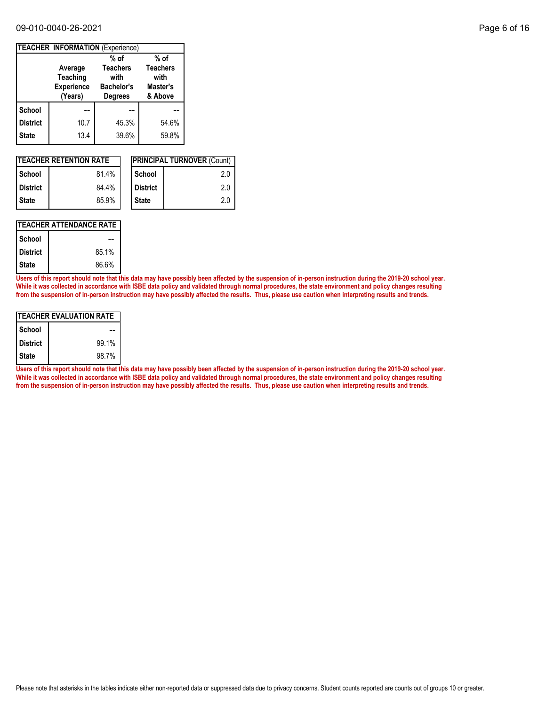#### 09-010-0040-26-2021 Page 6 of 16

|                 | <b>TEACHER INFORMATION (Experience)</b>             |                                                                |                                                |
|-----------------|-----------------------------------------------------|----------------------------------------------------------------|------------------------------------------------|
|                 |                                                     | $%$ of                                                         | $%$ of                                         |
|                 | Average<br>Teaching<br><b>Experience</b><br>(Years) | <b>Teachers</b><br>with<br><b>Bachelor's</b><br><b>Degrees</b> | <b>Teachers</b><br>with<br>Master's<br>& Above |
| School          |                                                     |                                                                |                                                |
| <b>District</b> | 10.7                                                | 45.3%                                                          | 54.6%                                          |
| <b>State</b>    | 13.4                                                | 39.6%                                                          | 59.8%                                          |

| <b>ITEACHER RETENTION RATE</b> |       |  |                 | <b>IPRINCIPAL TURNOVER (Count)</b> |
|--------------------------------|-------|--|-----------------|------------------------------------|
| l School                       | 81.4% |  | School          | 2.0                                |
| <b>District</b>                | 84.4% |  | <b>District</b> | 2.0                                |
| l State                        | 85.9% |  | <b>State</b>    | 2.0                                |

## **TEACHER ATTENDANCE RATE**

| School          |       |
|-----------------|-------|
| <b>District</b> | 85.1% |
| <b>State</b>    | 86.6% |

**Users of this report should note that this data may have possibly been affected by the suspension of in-person instruction during the 2019-20 school year. While it was collected in accordance with ISBE data policy and validated through normal procedures, the state environment and policy changes resulting from the suspension of in-person instruction may have possibly affected the results. Thus, please use caution when interpreting results and trends.**

| ITEACHER EVALUATION RATE |       |  |  |  |
|--------------------------|-------|--|--|--|
| School                   |       |  |  |  |
| <b>District</b>          | 99.1% |  |  |  |
| <b>State</b>             | 98.7% |  |  |  |

**Users of this report should note that this data may have possibly been affected by the suspension of in-person instruction during the 2019-20 school year. While it was collected in accordance with ISBE data policy and validated through normal procedures, the state environment and policy changes resulting from the suspension of in-person instruction may have possibly affected the results. Thus, please use caution when interpreting results and trends.**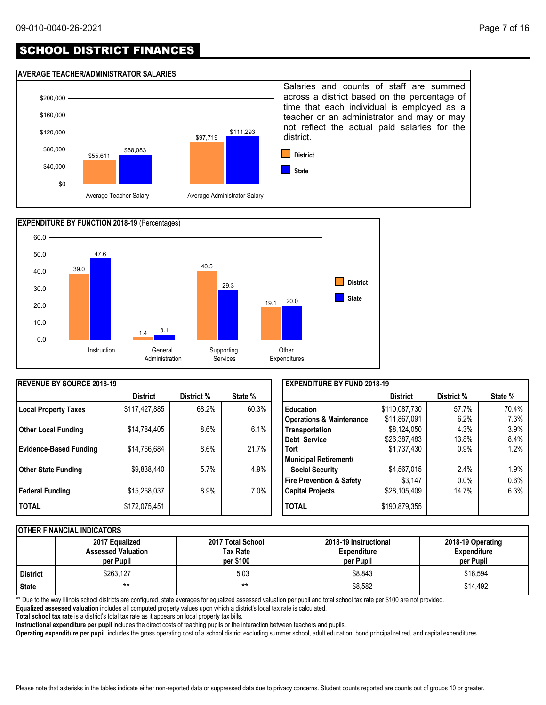# SCHOOL DISTRICT FINANCES

#### **AVERAGE TEACHER/ADMINISTRATOR SALARIES**





| <b>IREVENUE BY SOURCE 2018-19</b> |                 |            |         | <b>EXPENDITURE BY FUND 2018-19</b>  |                 |            |         |
|-----------------------------------|-----------------|------------|---------|-------------------------------------|-----------------|------------|---------|
|                                   | <b>District</b> | District % | State % |                                     | <b>District</b> | District % | State % |
| <b>Local Property Taxes</b>       | \$117,427,885   | 68.2%      | 60.3%   | <b>Education</b>                    | \$110,087,730   | 57.7%      | 70.4%   |
|                                   |                 |            |         | <b>Operations &amp; Maintenance</b> | \$11,867,091    | 6.2%       | 7.3%    |
| <b>Other Local Funding</b>        | \$14,784,405    | 8.6%       | 6.1%    | Transportation                      | \$8,124,050     | 4.3%       | 3.9%    |
|                                   |                 |            |         | Debt Service                        | \$26,387,483    | 13.8%      | 8.4%    |
| <b>Evidence-Based Funding</b>     | \$14,766,684    | 8.6%       | 21.7%   | <b>Tort</b>                         | \$1,737,430     | $0.9\%$    | 1.2%    |
|                                   |                 |            |         | Municipal Retirement/               |                 |            |         |
| <b>Other State Funding</b>        | \$9,838,440     | 5.7%       | 4.9%    | <b>Social Security</b>              | \$4,567,015     | 2.4%       | 1.9%    |
|                                   |                 |            |         | <b>Fire Prevention &amp; Safety</b> | \$3.147         | $0.0\%$    | 0.6%    |
| <b>Federal Funding</b>            | \$15,258,037    | 8.9%       | 7.0%    | <b>Capital Projects</b>             | \$28,105,409    | 14.7%      | 6.3%    |
| <b>TOTAL</b>                      | \$172,075,451   |            |         | <b>TOTAL</b>                        | \$190,879,355   |            |         |

#### **OTHER FINANCIAL INDICATORS**

|                 | 2017 Equalized<br><b>Assessed Valuation</b><br>per Pupil | 2017 Total School<br>Tax Rate<br>per \$100 | 2018-19 Instructional<br><b>Expenditure</b><br>per Pupil | 2018-19 Operating<br><b>Expenditure</b><br>per Pupil |
|-----------------|----------------------------------------------------------|--------------------------------------------|----------------------------------------------------------|------------------------------------------------------|
| <b>District</b> | \$263,127                                                | 5.03                                       | \$8.843                                                  | \$16,594                                             |
| <b>State</b>    | $***$                                                    | $***$                                      | \$8,582                                                  | \$14.492                                             |

\*\* Due to the way Illinois school districts are configured, state averages for equalized assessed valuation per pupil and total school tax rate per \$100 are not provided.

**Equalized assessed valuation** includes all computed property values upon which a district's local tax rate is calculated.

**Total school tax rate** is a district's total tax rate as it appears on local property tax bills.

**Instructional expenditure per pupil** includes the direct costs of teaching pupils or the interaction between teachers and pupils.

**Operating expenditure per pupil** includes the gross operating cost of a school district excluding summer school, adult education, bond principal retired, and capital expenditures.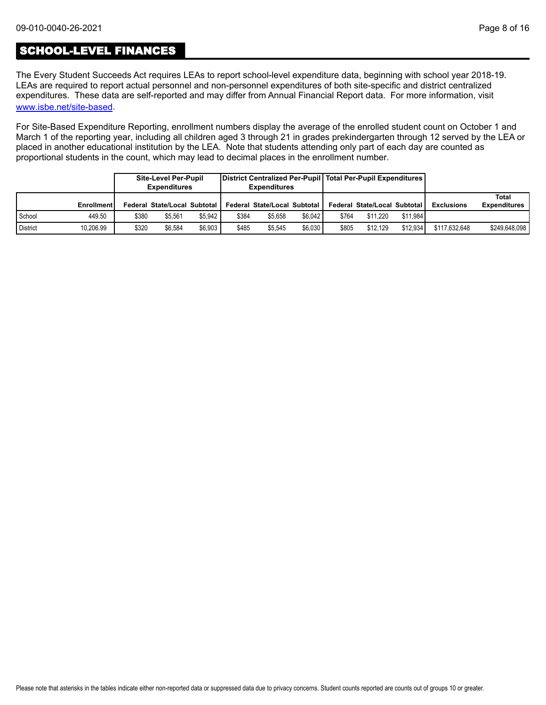## SCHOOL-LEVEL FINANCES

[www.isbe.net/site-based](https://www.isbe.net/site-based). The Every Student Succeeds Act requires LEAs to report school-level expenditure data, beginning with school year 2018-19. LEAs are required to report actual personnel and non-personnel expenditures of both site-specific and district centralized expenditures. These data are self-reported and may differ from Annual Financial Report data. For more information, visit

For Site-Based Expenditure Reporting, enrollment numbers display the average of the enrolled student count on October 1 and March 1 of the reporting year, including all children aged 3 through 21 in grades prekindergarten through 12 served by the LEA or placed in another educational institution by the LEA. Note that students attending only part of each day are counted as proportional students in the count, which may lead to decimal places in the enrollment number.

|                 |                   |       | <b>Site-Level Per-Pupil</b><br><b>Expenditures</b> |         |       | District Centralized Per-Pupil   Total Per-Pupil Expenditures  <br><b>Expenditures</b> |         |       |                              |          |                   |                              |
|-----------------|-------------------|-------|----------------------------------------------------|---------|-------|----------------------------------------------------------------------------------------|---------|-------|------------------------------|----------|-------------------|------------------------------|
|                 | <b>Enrollment</b> |       | Federal State/Local Subtotal I                     |         |       | <b>Federal State/Local Subtotal</b>                                                    |         |       | Federal State/Local Subtotal |          | <b>Exclusions</b> | Total<br><b>Expenditures</b> |
| School          | 449.50            | \$380 | \$5.561                                            | \$5.942 | \$384 | \$5.658                                                                                | \$6.042 | \$764 | \$11.220                     | \$11.984 |                   |                              |
| <b>District</b> | 10.206.99         | \$320 | \$6.584                                            | \$6.903 | \$485 | \$5.545                                                                                | \$6.030 | \$805 | \$12.129                     | \$12.934 | \$117.632.648     | \$249,648,098                |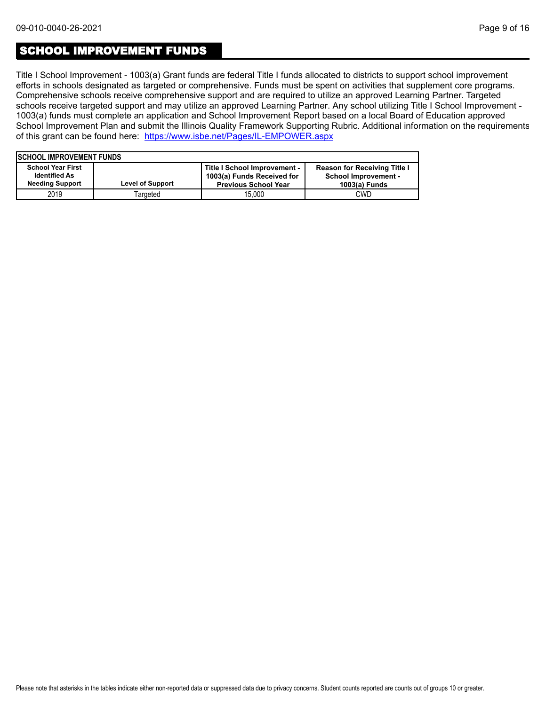## SCHOOL IMPROVEMENT FUNDS

Title I School Improvement - 1003(a) Grant funds are federal Title I funds allocated to districts to support school improvement efforts in schools designated as targeted or comprehensive. Funds must be spent on activities that supplement core programs. Comprehensive schools receive comprehensive support and are required to utilize an approved Learning Partner. Targeted schools receive targeted support and may utilize an approved Learning Partner. Any school utilizing Title I School Improvement - 1003(a) funds must complete an application and School Improvement Report based on a local Board of Education approved School Improvement Plan and submit the Illinois Quality Framework Supporting Rubric. Additional information on the requirements of this grant can be found here:<https://www.isbe.net/Pages/IL-EMPOWER.aspx>

| <b>ISCHOOL IMPROVEMENT FUNDS</b> |                         |                              |                                     |
|----------------------------------|-------------------------|------------------------------|-------------------------------------|
| <b>School Year First</b>         |                         | Title I School Improvement - | <b>Reason for Receiving Title I</b> |
| <b>Identified As</b>             |                         | 1003(a) Funds Received for   | <b>School Improvement -</b>         |
| <b>Needing Support</b>           | <b>Level of Support</b> | <b>Previous School Year</b>  | 1003(a) Funds                       |
| 2019                             | Targeted                | 15.000                       | <b>CWD</b>                          |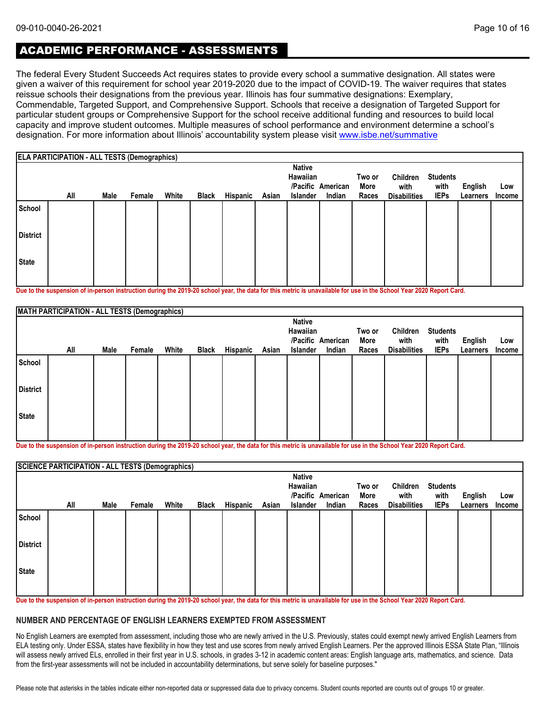# ACADEMIC PERFORMANCE - ASSESSMENTS

The federal Every Student Succeeds Act requires states to provide every school a summative designation. All states were given a waiver of this requirement for school year 2019-2020 due to the impact of COVID-19. The waiver requires that states reissue schools their designations from the previous year. Illinois has four summative designations: Exemplary, Commendable, Targeted Support, and Comprehensive Support. Schools that receive a designation of Targeted Support for particular student groups or Comprehensive Support for the school receive additional funding and resources to build local capacity and improve student outcomes. Multiple measures of school performance and environment determine a school's designation. For more information about Illinois' accountability system please visit [www.isbe.net/summative](http://www.isbe.net/summative)

|                 | <b>ELA PARTICIPATION - ALL TESTS (Demographics)</b> |      |        |       |              |          |       |                                              |                             |                         |                                         |                                        |                            |                      |
|-----------------|-----------------------------------------------------|------|--------|-------|--------------|----------|-------|----------------------------------------------|-----------------------------|-------------------------|-----------------------------------------|----------------------------------------|----------------------------|----------------------|
|                 | All                                                 | Male | Female | White | <b>Black</b> | Hispanic | Asian | <b>Native</b><br>Hawaiian<br><b>Islander</b> | /Pacific American<br>Indian | Two or<br>More<br>Races | Children<br>with<br><b>Disabilities</b> | <b>Students</b><br>with<br><b>IEPs</b> | <b>English</b><br>Learners | Low<br><b>Income</b> |
| School          |                                                     |      |        |       |              |          |       |                                              |                             |                         |                                         |                                        |                            |                      |
| <b>District</b> |                                                     |      |        |       |              |          |       |                                              |                             |                         |                                         |                                        |                            |                      |
| <b>State</b>    |                                                     |      |        |       |              |          |       |                                              |                             |                         |                                         |                                        |                            |                      |

**Due to the suspension of in-person instruction during the 2019-20 school year, the data for this metric is unavailable for use in the School Year 2020 Report Card.**

|                 | MATH PARTICIPATION - ALL TESTS (Demographics) |      |        |       |              |          |       |                           |                   |        |                     |                 |          |        |
|-----------------|-----------------------------------------------|------|--------|-------|--------------|----------|-------|---------------------------|-------------------|--------|---------------------|-----------------|----------|--------|
|                 |                                               |      |        |       |              |          |       | <b>Native</b><br>Hawaiian |                   | Two or | Children            | <b>Students</b> |          |        |
|                 |                                               |      |        |       |              |          |       |                           | /Pacific American | More   | with                | with            | English  | Low    |
|                 | All                                           | Male | Female | White | <b>Black</b> | Hispanic | Asian | Islander                  | Indian            | Races  | <b>Disabilities</b> | <b>IEPs</b>     | Learners | Income |
| School          |                                               |      |        |       |              |          |       |                           |                   |        |                     |                 |          |        |
| <b>District</b> |                                               |      |        |       |              |          |       |                           |                   |        |                     |                 |          |        |
| State           |                                               |      |        |       |              |          |       |                           |                   |        |                     |                 |          |        |
|                 |                                               |      |        |       |              |          |       |                           |                   |        |                     |                 |          |        |

**Due to the suspension of in-person instruction during the 2019-20 school year, the data for this metric is unavailable for use in the School Year 2020 Report Card.**

|                 | <b>SCIENCE PARTICIPATION - ALL TESTS (Demographics)</b> |      |        |       |              |          |       |                           |                             |                |                     |                         |          |               |
|-----------------|---------------------------------------------------------|------|--------|-------|--------------|----------|-------|---------------------------|-----------------------------|----------------|---------------------|-------------------------|----------|---------------|
|                 | All                                                     |      |        |       |              |          |       | <b>Native</b><br>Hawaiian | /Pacific American<br>Indian | Two or<br>More | Children<br>with    | <b>Students</b><br>with | English  | Low           |
|                 |                                                         | Male | Female | White | <b>Black</b> | Hispanic | Asian | Islander                  |                             | Races          | <b>Disabilities</b> | <b>IEPs</b>             | Learners | <b>Income</b> |
| School          |                                                         |      |        |       |              |          |       |                           |                             |                |                     |                         |          |               |
| <b>District</b> |                                                         |      |        |       |              |          |       |                           |                             |                |                     |                         |          |               |
| <b>State</b>    |                                                         |      |        |       |              |          |       |                           |                             |                |                     |                         |          |               |

**Due to the suspension of in-person instruction during the 2019-20 school year, the data for this metric is unavailable for use in the School Year 2020 Report Card.**

#### **NUMBER AND PERCENTAGE OF ENGLISH LEARNERS EXEMPTED FROM ASSESSMENT**

No English Learners are exempted from assessment, including those who are newly arrived in the U.S. Previously, states could exempt newly arrived English Learners from ELA testing only. Under ESSA, states have flexibility in how they test and use scores from newly arrived English Learners. Per the approved Illinois ESSA State Plan, "Illinois will assess newly arrived ELs, enrolled in their first year in U.S. schools, in grades 3-12 in academic content areas: English language arts, mathematics, and science. Data from the first-year assessments will not be included in accountability determinations, but serve solely for baseline purposes."

Please note that asterisks in the tables indicate either non-reported data or suppressed data due to privacy concerns. Student counts reported are counts out of groups 10 or greater.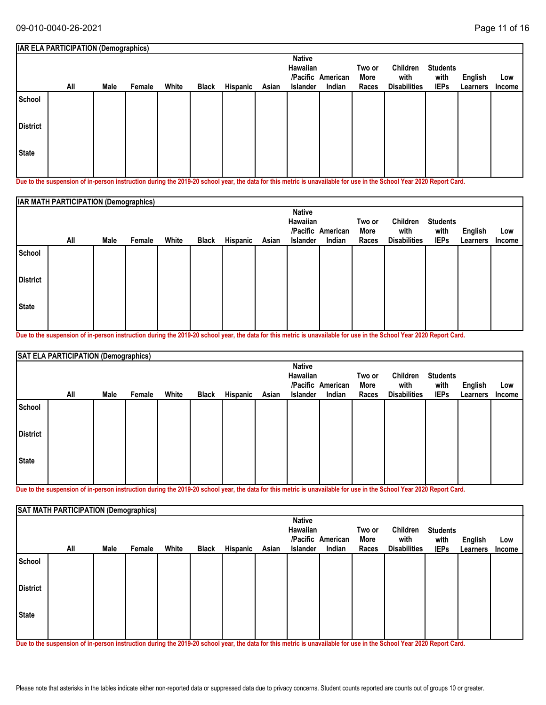|                 | <b>IAR ELA PARTICIPATION (Demographics)</b> |      |        |       |              |          |       |                                              |                             |                         |                                         |                                        |                     |               |
|-----------------|---------------------------------------------|------|--------|-------|--------------|----------|-------|----------------------------------------------|-----------------------------|-------------------------|-----------------------------------------|----------------------------------------|---------------------|---------------|
|                 | All                                         | Male | Female | White | <b>Black</b> | Hispanic | Asian | <b>Native</b><br>Hawaiian<br><b>Islander</b> | /Pacific American<br>Indian | Two or<br>More<br>Races | Children<br>with<br><b>Disabilities</b> | <b>Students</b><br>with<br><b>IEPs</b> | English<br>Learners | Low<br>Income |
| School          |                                             |      |        |       |              |          |       |                                              |                             |                         |                                         |                                        |                     |               |
| <b>District</b> |                                             |      |        |       |              |          |       |                                              |                             |                         |                                         |                                        |                     |               |
| <b>State</b>    |                                             |      |        |       |              |          |       |                                              |                             |                         |                                         |                                        |                     |               |

**Due to the suspension of in-person instruction during the 2019-20 school year, the data for this metric is unavailable for use in the School Year 2020 Report Card.**

|                 | IAR MATH PARTICIPATION (Demographics) |      |        |       |              |          |       |                                              |                             |                         |                                         |                                        |                            |                      |
|-----------------|---------------------------------------|------|--------|-------|--------------|----------|-------|----------------------------------------------|-----------------------------|-------------------------|-----------------------------------------|----------------------------------------|----------------------------|----------------------|
|                 | All                                   | Male | Female | White | <b>Black</b> | Hispanic | Asian | <b>Native</b><br>Hawaiian<br><b>Islander</b> | /Pacific American<br>Indian | Two or<br>More<br>Races | Children<br>with<br><b>Disabilities</b> | <b>Students</b><br>with<br><b>IEPs</b> | <b>English</b><br>Learners | Low<br><b>Income</b> |
| School          |                                       |      |        |       |              |          |       |                                              |                             |                         |                                         |                                        |                            |                      |
| <b>District</b> |                                       |      |        |       |              |          |       |                                              |                             |                         |                                         |                                        |                            |                      |
| <b>State</b>    |                                       |      |        |       |              |          |       |                                              |                             |                         |                                         |                                        |                            |                      |

**Due to the suspension of in-person instruction during the 2019-20 school year, the data for this metric is unavailable for use in the School Year 2020 Report Card.**

|                 | SAT ELA PARTICIPATION (Demographics) |      |        |       |              |          |       |                                       |                             |                         |                                         |                                        |                     |               |
|-----------------|--------------------------------------|------|--------|-------|--------------|----------|-------|---------------------------------------|-----------------------------|-------------------------|-----------------------------------------|----------------------------------------|---------------------|---------------|
|                 | All                                  | Male | Female | White | <b>Black</b> | Hispanic | Asian | <b>Native</b><br>Hawaiian<br>Islander | /Pacific American<br>Indian | Two or<br>More<br>Races | Children<br>with<br><b>Disabilities</b> | <b>Students</b><br>with<br><b>IEPs</b> | English<br>Learners | Low<br>Income |
| School          |                                      |      |        |       |              |          |       |                                       |                             |                         |                                         |                                        |                     |               |
| <b>District</b> |                                      |      |        |       |              |          |       |                                       |                             |                         |                                         |                                        |                     |               |
| State           |                                      |      |        |       |              |          |       |                                       |                             |                         |                                         |                                        |                     |               |
|                 |                                      |      |        |       |              |          |       |                                       |                             |                         |                                         |                                        |                     |               |

**Due to the suspension of in-person instruction during the 2019-20 school year, the data for this metric is unavailable for use in the School Year 2020 Report Card.**

|                 | SAT MATH PARTICIPATION (Demographics) |      |        |       |              |          |       |                                       |                             |                         |                                         |                                        |                            |               |
|-----------------|---------------------------------------|------|--------|-------|--------------|----------|-------|---------------------------------------|-----------------------------|-------------------------|-----------------------------------------|----------------------------------------|----------------------------|---------------|
|                 | All                                   | Male | Female | White | <b>Black</b> | Hispanic | Asian | <b>Native</b><br>Hawaiian<br>Islander | /Pacific American<br>Indian | Two or<br>More<br>Races | Children<br>with<br><b>Disabilities</b> | <b>Students</b><br>with<br><b>IEPs</b> | <b>English</b><br>Learners | Low<br>Income |
| School          |                                       |      |        |       |              |          |       |                                       |                             |                         |                                         |                                        |                            |               |
| <b>District</b> |                                       |      |        |       |              |          |       |                                       |                             |                         |                                         |                                        |                            |               |
| <b>State</b>    |                                       |      |        |       |              |          |       |                                       |                             |                         |                                         |                                        |                            |               |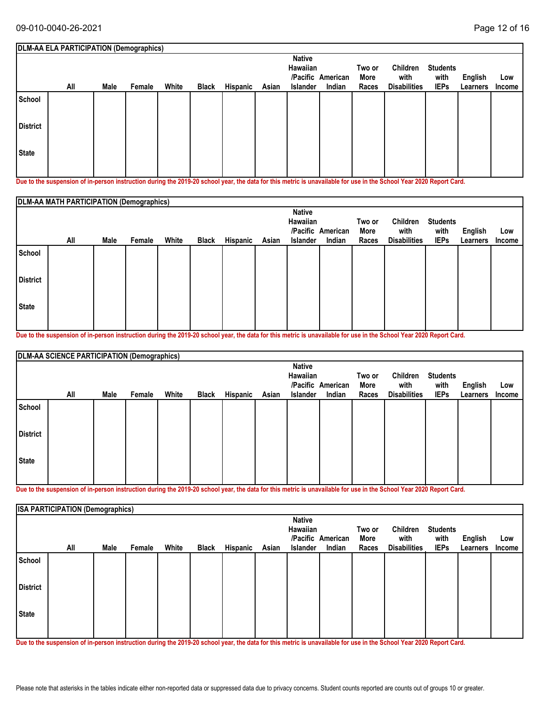|                 | DLM-AA ELA PARTICIPATION (Demographics) |      |        |       |              |          |       |                                              |                             |                         |                                         |                                        |                     |               |
|-----------------|-----------------------------------------|------|--------|-------|--------------|----------|-------|----------------------------------------------|-----------------------------|-------------------------|-----------------------------------------|----------------------------------------|---------------------|---------------|
|                 | All                                     | Male | Female | White | <b>Black</b> | Hispanic | Asian | <b>Native</b><br>Hawaiian<br><b>Islander</b> | /Pacific American<br>Indian | Two or<br>More<br>Races | Children<br>with<br><b>Disabilities</b> | <b>Students</b><br>with<br><b>IEPs</b> | English<br>Learners | Low<br>Income |
| School          |                                         |      |        |       |              |          |       |                                              |                             |                         |                                         |                                        |                     |               |
| <b>District</b> |                                         |      |        |       |              |          |       |                                              |                             |                         |                                         |                                        |                     |               |
| <b>State</b>    |                                         |      |        |       |              |          |       |                                              |                             |                         |                                         |                                        |                     |               |

**Due to the suspension of in-person instruction during the 2019-20 school year, the data for this metric is unavailable for use in the School Year 2020 Report Card.**

|                 | DLM-AA MATH PARTICIPATION (Demographics) |      |        |       |              |          |       |                                              |                             |                         |                                         |                                        |                            |                      |
|-----------------|------------------------------------------|------|--------|-------|--------------|----------|-------|----------------------------------------------|-----------------------------|-------------------------|-----------------------------------------|----------------------------------------|----------------------------|----------------------|
|                 | All                                      | Male | Female | White | <b>Black</b> | Hispanic | Asian | <b>Native</b><br>Hawaiian<br><b>Islander</b> | /Pacific American<br>Indian | Two or<br>More<br>Races | Children<br>with<br><b>Disabilities</b> | <b>Students</b><br>with<br><b>IEPs</b> | <b>English</b><br>Learners | Low<br><b>Income</b> |
| School          |                                          |      |        |       |              |          |       |                                              |                             |                         |                                         |                                        |                            |                      |
| <b>District</b> |                                          |      |        |       |              |          |       |                                              |                             |                         |                                         |                                        |                            |                      |
| <b>State</b>    |                                          |      |        |       |              |          |       |                                              |                             |                         |                                         |                                        |                            |                      |

**Due to the suspension of in-person instruction during the 2019-20 school year, the data for this metric is unavailable for use in the School Year 2020 Report Card.**

|                 | DLM-AA SCIENCE PARTICIPATION (Demographics) |      |        |       |              |          |       |                 |                   |        |                     |                 |          |        |
|-----------------|---------------------------------------------|------|--------|-------|--------------|----------|-------|-----------------|-------------------|--------|---------------------|-----------------|----------|--------|
|                 |                                             |      |        |       |              |          |       | <b>Native</b>   |                   |        |                     |                 |          |        |
|                 |                                             |      |        |       |              |          |       | Hawaiian        |                   | Two or | Children            | <b>Students</b> |          |        |
|                 |                                             |      |        |       |              |          |       |                 | /Pacific American | More   | with                | with            | English  | Low    |
|                 | All                                         | Male | Female | White | <b>Black</b> | Hispanic | Asian | <b>Islander</b> | Indian            | Races  | <b>Disabilities</b> | <b>IEPs</b>     | Learners | Income |
| School          |                                             |      |        |       |              |          |       |                 |                   |        |                     |                 |          |        |
| <b>District</b> |                                             |      |        |       |              |          |       |                 |                   |        |                     |                 |          |        |
| State           |                                             |      |        |       |              |          |       |                 |                   |        |                     |                 |          |        |
|                 |                                             |      |        |       |              |          |       |                 |                   |        |                     |                 |          |        |

**Due to the suspension of in-person instruction during the 2019-20 school year, the data for this metric is unavailable for use in the School Year 2020 Report Card.**

|                 | <b>ISA PARTICIPATION (Demographics)</b> |      |        |       |              |          |       |                                       |                             |                         |                                         |                                        |                     |               |
|-----------------|-----------------------------------------|------|--------|-------|--------------|----------|-------|---------------------------------------|-----------------------------|-------------------------|-----------------------------------------|----------------------------------------|---------------------|---------------|
|                 | All                                     | Male | Female | White | <b>Black</b> | Hispanic | Asian | <b>Native</b><br>Hawaiian<br>Islander | /Pacific American<br>Indian | Two or<br>More<br>Races | Children<br>with<br><b>Disabilities</b> | <b>Students</b><br>with<br><b>IEPs</b> | English<br>Learners | Low<br>Income |
| School          |                                         |      |        |       |              |          |       |                                       |                             |                         |                                         |                                        |                     |               |
| <b>District</b> |                                         |      |        |       |              |          |       |                                       |                             |                         |                                         |                                        |                     |               |
| State           |                                         |      |        |       |              |          |       |                                       |                             |                         |                                         |                                        |                     |               |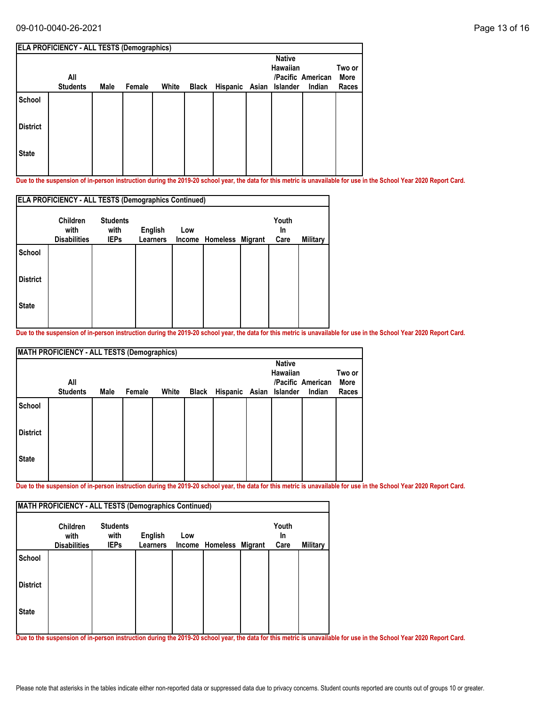#### 09-010-0040-26-2021 Page 13 of 16

|                 | All             |      |        |       |              |          |       | <b>Native</b><br>Hawaiian | /Pacific American | Two or<br>More |
|-----------------|-----------------|------|--------|-------|--------------|----------|-------|---------------------------|-------------------|----------------|
|                 | <b>Students</b> | Male | Female | White | <b>Black</b> | Hispanic | Asian | Islander                  | Indian            | Races          |
| School          |                 |      |        |       |              |          |       |                           |                   |                |
| <b>District</b> |                 |      |        |       |              |          |       |                           |                   |                |
| <b>State</b>    |                 |      |        |       |              |          |       |                           |                   |                |

**Due to the suspension of in-person instruction during the 2019-20 school year, the data for this metric is unavailable for use in the School Year 2020 Report Card.**

|                 | <b>ELA PROFICIENCY - ALL TESTS (Demographics Continued)</b> |                                        |                                   |               |          |         |                     |                 |  |  |  |  |
|-----------------|-------------------------------------------------------------|----------------------------------------|-----------------------------------|---------------|----------|---------|---------------------|-----------------|--|--|--|--|
|                 | <b>Children</b><br>with<br><b>Disabilities</b>              | <b>Students</b><br>with<br><b>IEPs</b> | <b>English</b><br><b>Learners</b> | Low<br>Income | Homeless | Migrant | Youth<br>In<br>Care | <b>Military</b> |  |  |  |  |
| <b>School</b>   |                                                             |                                        |                                   |               |          |         |                     |                 |  |  |  |  |
| <b>District</b> |                                                             |                                        |                                   |               |          |         |                     |                 |  |  |  |  |
| <b>State</b>    |                                                             |                                        |                                   |               |          |         |                     |                 |  |  |  |  |
|                 |                                                             |                                        |                                   |               |          |         |                     |                 |  |  |  |  |

**Due to the suspension of in-person instruction during the 2019-20 school year, the data for this metric is unavailable for use in the School Year 2020 Report Card.**

|                 | <b>MATH PROFICIENCY - ALL TESTS (Demographics)</b> |      |        |       |       |                         |                                  |                             |                         |
|-----------------|----------------------------------------------------|------|--------|-------|-------|-------------------------|----------------------------------|-----------------------------|-------------------------|
|                 | All<br><b>Students</b>                             | Male | Female | White | Black | Hispanic Asian Islander | <b>Native</b><br><b>Hawaiian</b> | /Pacific American<br>Indian | Two or<br>More<br>Races |
| School          |                                                    |      |        |       |       |                         |                                  |                             |                         |
| <b>District</b> |                                                    |      |        |       |       |                         |                                  |                             |                         |
| <b>State</b>    |                                                    |      |        |       |       |                         |                                  |                             |                         |

**Due to the suspension of in-person instruction during the 2019-20 school year, the data for this metric is unavailable for use in the School Year 2020 Report Card.**

|                 | <b>Children</b><br>with | <b>Students</b><br>with | <b>English</b> | Low |                         | Youth<br><b>In</b> |          |
|-----------------|-------------------------|-------------------------|----------------|-----|-------------------------|--------------------|----------|
|                 | <b>Disabilities</b>     | <b>IEPs</b>             | Learners       |     | Income Homeless Migrant | Care               | Military |
| School          |                         |                         |                |     |                         |                    |          |
| <b>District</b> |                         |                         |                |     |                         |                    |          |
| <b>State</b>    |                         |                         |                |     |                         |                    |          |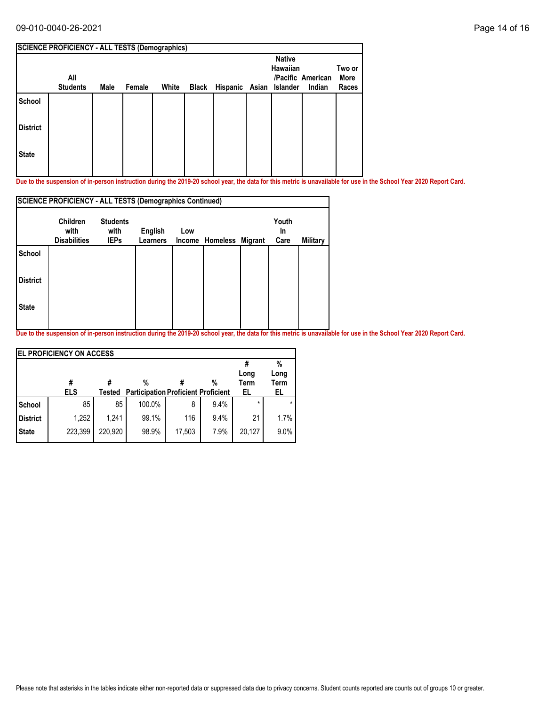### 09-010-0040-26-2021 Page 14 of 16

|                 | <b>SCIENCE PROFICIENCY - ALL TESTS (Demographics)</b> |      |        |       |                               |                           |                             |                         |
|-----------------|-------------------------------------------------------|------|--------|-------|-------------------------------|---------------------------|-----------------------------|-------------------------|
|                 | All<br><b>Students</b>                                | Male | Female | White | Black Hispanic Asian Islander | <b>Native</b><br>Hawaiian | /Pacific American<br>Indian | Two or<br>More<br>Races |
| School          |                                                       |      |        |       |                               |                           |                             |                         |
| <b>District</b> |                                                       |      |        |       |                               |                           |                             |                         |
| <b>State</b>    |                                                       |      |        |       |                               |                           |                             |                         |

**Due to the suspension of in-person instruction during the 2019-20 school year, the data for this metric is unavailable for use in the School Year 2020 Report Card.**

|                 | <b>SCIENCE PROFICIENCY - ALL TESTS (Demographics Continued)</b> |                     |                            |     |                         |            |          |
|-----------------|-----------------------------------------------------------------|---------------------|----------------------------|-----|-------------------------|------------|----------|
|                 | <b>Children</b>                                                 | <b>Students</b>     |                            |     |                         | Youth      |          |
|                 | with<br><b>Disabilities</b>                                     | with<br><b>IEPs</b> | English<br><b>Learners</b> | Low | Income Homeless Migrant | In<br>Care | Military |
| <b>School</b>   |                                                                 |                     |                            |     |                         |            |          |
| <b>District</b> |                                                                 |                     |                            |     |                         |            |          |
| <b>State</b>    |                                                                 |                     |                            |     |                         |            |          |
|                 |                                                                 |                     |                            |     |                         |            |          |

|                 | <b>IEL PROFICIENCY ON ACCESS</b> |         |                                                 |        |      |                    |                                |
|-----------------|----------------------------------|---------|-------------------------------------------------|--------|------|--------------------|--------------------------------|
|                 | #<br><b>ELS</b>                  | Tested  | %<br><b>Participation Proficient Proficient</b> |        | %    | Long<br>Term<br>EL | %<br>Long<br><b>Term</b><br>EL |
| School          | 85                               | 85      | 100.0%                                          | 8      | 9.4% | $\star$            |                                |
| <b>District</b> | 1,252                            | 1.241   | 99.1%                                           | 116    | 9.4% | 21                 | 1.7%                           |
| <b>State</b>    | 223,399                          | 220.920 | 98.9%                                           | 17,503 | 7.9% | 20.127             | 9.0%                           |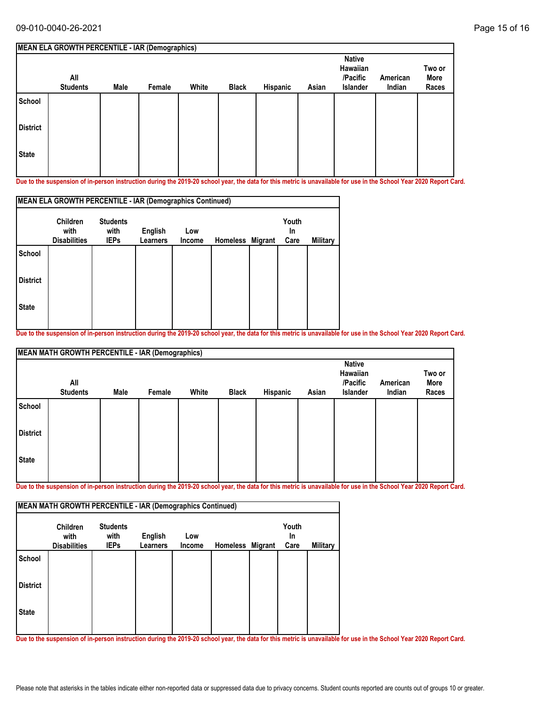|                 | <b>MEAN ELA GROWTH PERCENTILE - IAR (Demographics)</b> |      |        |       |              |          |       |                                                   |                    |                         |
|-----------------|--------------------------------------------------------|------|--------|-------|--------------|----------|-------|---------------------------------------------------|--------------------|-------------------------|
|                 | All<br><b>Students</b>                                 | Male | Female | White | <b>Black</b> | Hispanic | Asian | <b>Native</b><br>Hawaiian<br>/Pacific<br>Islander | American<br>Indian | Two or<br>More<br>Races |
| School          |                                                        |      |        |       |              |          |       |                                                   |                    |                         |
| <b>District</b> |                                                        |      |        |       |              |          |       |                                                   |                    |                         |
| <b>State</b>    |                                                        |      |        |       |              |          |       |                                                   |                    |                         |

**Due to the suspension of in-person instruction during the 2019-20 school year, the data for this metric is unavailable for use in the School Year 2020 Report Card.**

|                 | MEAN ELA GROWTH PERCENTILE - IAR (Demographics Continued) |                         |                 |        |                  |                    |          |
|-----------------|-----------------------------------------------------------|-------------------------|-----------------|--------|------------------|--------------------|----------|
|                 | <b>Children</b><br>with                                   | <b>Students</b><br>with | English         | Low    |                  | Youth<br><b>In</b> |          |
|                 | <b>Disabilities</b>                                       | <b>IEPs</b>             | <b>Learners</b> | Income | Homeless Migrant | Care               | Military |
| <b>School</b>   |                                                           |                         |                 |        |                  |                    |          |
| <b>District</b> |                                                           |                         |                 |        |                  |                    |          |
| <b>State</b>    |                                                           |                         |                 |        |                  |                    |          |
|                 |                                                           |                         |                 |        |                  |                    |          |

**Due to the suspension of in-person instruction during the 2019-20 school year, the data for this metric is unavailable for use in the School Year 2020 Report Card.**

|                 | <b>MEAN MATH GROWTH PERCENTILE - IAR (Demographics)</b> |      |        |       |              |          |       |                                                   |                    |                         |  |  |  |
|-----------------|---------------------------------------------------------|------|--------|-------|--------------|----------|-------|---------------------------------------------------|--------------------|-------------------------|--|--|--|
|                 | All<br><b>Students</b>                                  | Male | Female | White | <b>Black</b> | Hispanic | Asian | <b>Native</b><br>Hawaiian<br>/Pacific<br>Islander | American<br>Indian | Two or<br>More<br>Races |  |  |  |
| School          |                                                         |      |        |       |              |          |       |                                                   |                    |                         |  |  |  |
| <b>District</b> |                                                         |      |        |       |              |          |       |                                                   |                    |                         |  |  |  |
| State           |                                                         |      |        |       |              |          |       |                                                   |                    |                         |  |  |  |

**Due to the suspension of in-person instruction during the 2019-20 school year, the data for this metric is unavailable for use in the School Year 2020 Report Card.**

|                 | <b>Children</b><br>with | <b>Students</b><br>with | English         | Low    |                  | Youth<br><b>In</b> |                 |
|-----------------|-------------------------|-------------------------|-----------------|--------|------------------|--------------------|-----------------|
|                 | <b>Disabilities</b>     | <b>IEPs</b>             | <b>Learners</b> | Income | Homeless Migrant | Care               | <b>Military</b> |
| <b>School</b>   |                         |                         |                 |        |                  |                    |                 |
| <b>District</b> |                         |                         |                 |        |                  |                    |                 |
| <b>State</b>    |                         |                         |                 |        |                  |                    |                 |